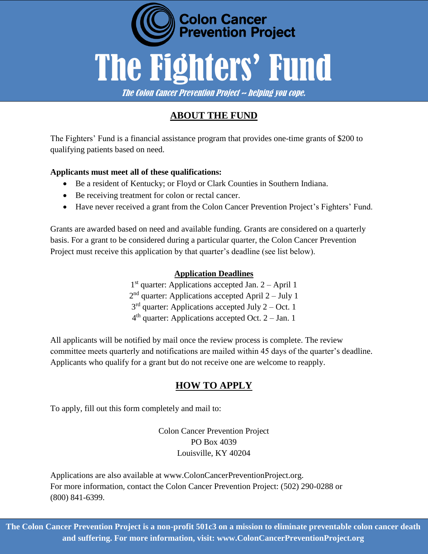

# **ABOUT THE FUND**

The Fighters' Fund is a financial assistance program that provides one-time grants of \$200 to qualifying patients based on need.

#### **Applicants must meet all of these qualifications:**

- Be a resident of Kentucky; or Floyd or Clark Counties in Southern Indiana.
- Be receiving treatment for colon or rectal cancer.
- Have never received a grant from the Colon Cancer Prevention Project's Fighters' Fund.

Grants are awarded based on need and available funding. Grants are considered on a quarterly basis. For a grant to be considered during a particular quarter, the Colon Cancer Prevention Project must receive this application by that quarter's deadline (see list below).

#### **Application Deadlines**

1 st quarter: Applications accepted Jan. 2 – April 1 2<sup>nd</sup> quarter: Applications accepted April 2 – July 1  $3<sup>rd</sup>$  quarter: Applications accepted July 2 – Oct. 1  $4<sup>th</sup>$  quarter: Applications accepted Oct. 2 – Jan. 1

All applicants will be notified by mail once the review process is complete. The review committee meets quarterly and notifications are mailed within 45 days of the quarter's deadline. Applicants who qualify for a grant but do not receive one are welcome to reapply.

#### **HOW TO APPLY**

To apply, fill out this form completely and mail to:

Colon Cancer Prevention Project PO Box 4039 Louisville, KY 40204

Applications are also available at [www.ColonCancerPreventionProject.org.](http://www.coloncancerpreventionproject.org/) For more information, contact the Colon Cancer Prevention Project: (502) 290-0288 or (800) 841-6399.

**The Colon Cancer Prevention Project is a non-profit 501c3 on a mission to eliminate preventable colon cancer death and suffering. For more information, visit: www.ColonCancerPreventionProject.org**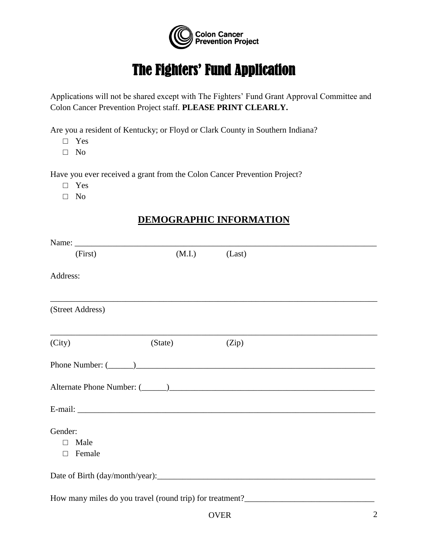

# The Fighters' Fund Application

Applications will not be shared except with The Fighters' Fund Grant Approval Committee and Colon Cancer Prevention Project staff. **PLEASE PRINT CLEARLY.** 

Are you a resident of Kentucky; or Floyd or Clark County in Southern Indiana?

- □ Yes
- □ No

Have you ever received a grant from the Colon Cancer Prevention Project?

- □ Yes
- □ No

#### **DEMOGRAPHIC INFORMATION**

| (First)                                       | (M.I.)  | (Last) |  |
|-----------------------------------------------|---------|--------|--|
| Address:                                      |         |        |  |
| (Street Address)                              |         |        |  |
| (City)                                        | (State) | (Zip)  |  |
|                                               |         |        |  |
|                                               |         |        |  |
|                                               |         |        |  |
| Gender:<br>Male<br>$\Box$<br>Female<br>$\Box$ |         |        |  |
|                                               |         |        |  |
|                                               |         |        |  |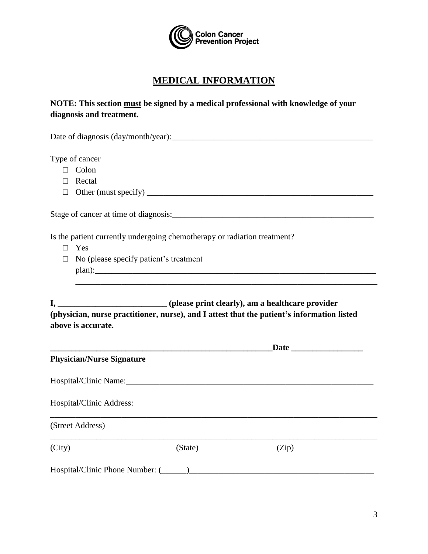

### **MEDICAL INFORMATION**

#### **NOTE: This section must be signed by a medical professional with knowledge of your diagnosis and treatment.**

Date of diagnosis (day/month/year):\_\_\_\_\_\_\_\_\_\_\_\_\_\_\_\_\_\_\_\_\_\_\_\_\_\_\_\_\_\_\_\_\_\_\_\_\_\_\_\_\_\_\_\_\_\_\_\_

Type of cancer

- □ Colon
- □ Rectal
- □ Other (must specify) \_\_\_\_\_\_\_\_\_\_\_\_\_\_\_\_\_\_\_\_\_\_\_\_\_\_\_\_\_\_\_\_\_\_\_\_\_\_\_\_\_\_\_\_\_\_\_\_\_\_\_\_\_\_

Stage of cancer at time of diagnosis:\_\_\_\_\_\_\_\_\_\_\_\_\_\_\_\_\_\_\_\_\_\_\_\_\_\_\_\_\_\_\_\_\_\_\_\_\_\_\_\_\_\_\_\_\_\_\_\_

Is the patient currently undergoing chemotherapy or radiation treatment?

- □ Yes
- □ No (please specify patient's treatment plan):\_\_\_\_\_\_\_\_\_\_\_\_\_\_\_\_\_\_\_\_\_\_\_\_\_\_\_\_\_\_\_\_\_\_\_\_\_\_\_\_\_\_\_\_\_\_\_\_\_\_\_\_\_\_\_\_\_\_\_\_\_\_\_\_\_\_\_

**I, \_\_\_\_\_\_\_\_\_\_\_\_\_\_\_\_\_\_\_\_\_\_\_\_\_\_ (please print clearly), am a healthcare provider (physician, nurse practitioner, nurse), and I attest that the patient's information listed above is accurate.** 

\_\_\_\_\_\_\_\_\_\_\_\_\_\_\_\_\_\_\_\_\_\_\_\_\_\_\_\_\_\_\_\_\_\_\_\_\_\_\_\_\_\_\_\_\_\_\_\_\_\_\_\_\_\_\_\_\_\_\_\_\_\_\_\_\_\_\_\_\_\_\_\_

| <b>Physician/Nurse Signature</b> |                                                  |       |  |
|----------------------------------|--------------------------------------------------|-------|--|
| Hospital/Clinic Name:            |                                                  |       |  |
| Hospital/Clinic Address:         |                                                  |       |  |
| (Street Address)                 |                                                  |       |  |
| (City)                           | (State)                                          | (Zip) |  |
|                                  | Hospital/Clinic Phone Number: (______)__________ |       |  |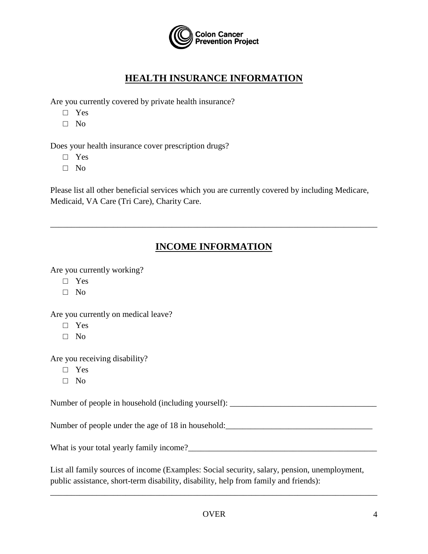

## **HEALTH INSURANCE INFORMATION**

Are you currently covered by private health insurance?

- □ Yes
- □ No

Does your health insurance cover prescription drugs?

- □ Yes
- □ No

Please list all other beneficial services which you are currently covered by including Medicare, Medicaid, VA Care (Tri Care), Charity Care.

# **INCOME INFORMATION**

\_\_\_\_\_\_\_\_\_\_\_\_\_\_\_\_\_\_\_\_\_\_\_\_\_\_\_\_\_\_\_\_\_\_\_\_\_\_\_\_\_\_\_\_\_\_\_\_\_\_\_\_\_\_\_\_\_\_\_\_\_\_\_\_\_\_\_\_\_\_\_\_\_\_\_\_\_\_

Are you currently working?

- □ Yes
- □ No

Are you currently on medical leave?

- □ Yes
- □ No

Are you receiving disability?

- □ Yes
- □ No

Number of people in household (including yourself): \_\_\_\_\_\_\_\_\_\_\_\_\_\_\_\_\_\_\_\_\_\_\_\_\_\_\_\_\_

Number of people under the age of 18 in household: \_\_\_\_\_\_\_\_\_\_\_\_\_\_\_\_\_\_\_\_\_\_\_\_\_\_\_\_\_\_

What is your total yearly family income?\_\_\_\_\_\_\_\_\_\_\_\_\_\_\_\_\_\_\_\_\_\_\_\_\_\_\_\_\_\_\_\_\_\_\_\_\_\_\_\_\_\_\_\_\_

List all family sources of income (Examples: Social security, salary, pension, unemployment, public assistance, short-term disability, disability, help from family and friends):

\_\_\_\_\_\_\_\_\_\_\_\_\_\_\_\_\_\_\_\_\_\_\_\_\_\_\_\_\_\_\_\_\_\_\_\_\_\_\_\_\_\_\_\_\_\_\_\_\_\_\_\_\_\_\_\_\_\_\_\_\_\_\_\_\_\_\_\_\_\_\_\_\_\_\_\_\_\_